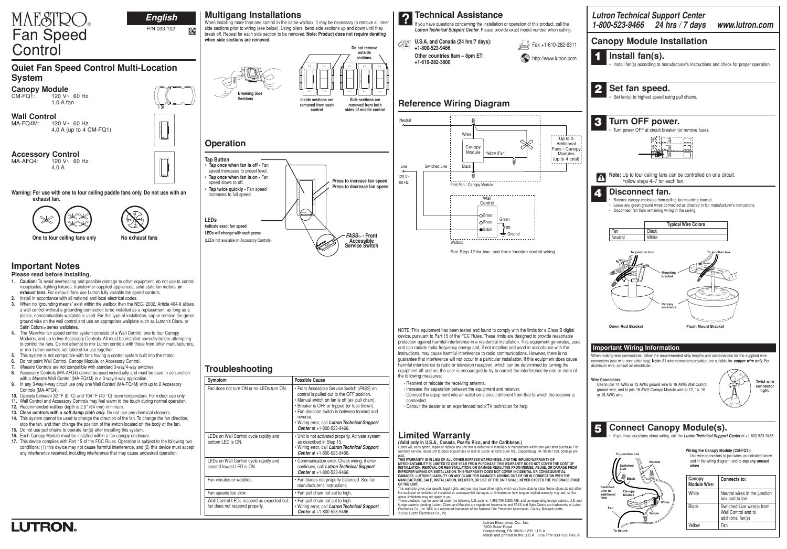

|                                                                                                                                                                                                                                                                                                                                                                                                                                                                    |                                                                                                                                                        | 1-800-523-9466 24 hrs / 7 days www.lutron.com                                                                                                  |
|--------------------------------------------------------------------------------------------------------------------------------------------------------------------------------------------------------------------------------------------------------------------------------------------------------------------------------------------------------------------------------------------------------------------------------------------------------------------|--------------------------------------------------------------------------------------------------------------------------------------------------------|------------------------------------------------------------------------------------------------------------------------------------------------|
| <b>Canopy Module Installation</b>                                                                                                                                                                                                                                                                                                                                                                                                                                  |                                                                                                                                                        |                                                                                                                                                |
| Install fan(s).                                                                                                                                                                                                                                                                                                                                                                                                                                                    | • Install fan(s) according to manufacturer's instructions and check for proper operation.                                                              |                                                                                                                                                |
| Set fan speed.<br>• Set fan(s) to highest speed using pull chains.                                                                                                                                                                                                                                                                                                                                                                                                 |                                                                                                                                                        |                                                                                                                                                |
| Turn OFF power.<br>3                                                                                                                                                                                                                                                                                                                                                                                                                                               |                                                                                                                                                        |                                                                                                                                                |
|                                                                                                                                                                                                                                                                                                                                                                                                                                                                    | • Turn power OFF at circuit breaker (or remove fuse).<br>3<br>齿                                                                                        |                                                                                                                                                |
| Follow steps 4-7 for each fan.                                                                                                                                                                                                                                                                                                                                                                                                                                     | Note: Up to four ceiling fans can be controlled on one circuit.                                                                                        |                                                                                                                                                |
| Disconnect fan.<br>• Disconnect fan from remaining wiring in the ceiling.                                                                                                                                                                                                                                                                                                                                                                                          | Remove canopy enclosure from ceiling fan mounting bracket.<br>• Leave any green ground wires connected as directed in fan manufacturer's instructions. |                                                                                                                                                |
| Fan<br><b>Black</b>                                                                                                                                                                                                                                                                                                                                                                                                                                                | <b>Typical Wire Colors</b>                                                                                                                             |                                                                                                                                                |
| White<br>Neutral                                                                                                                                                                                                                                                                                                                                                                                                                                                   |                                                                                                                                                        |                                                                                                                                                |
|                                                                                                                                                                                                                                                                                                                                                                                                                                                                    | Canopy<br>enclosure                                                                                                                                    |                                                                                                                                                |
| <b>Down Rod Bracket</b>                                                                                                                                                                                                                                                                                                                                                                                                                                            | <b>Flush Mount Bracket</b>                                                                                                                             |                                                                                                                                                |
| <b>Important Wiring Information</b>                                                                                                                                                                                                                                                                                                                                                                                                                                |                                                                                                                                                        |                                                                                                                                                |
| When making wire connections, follow the recommended strip lengths and combinations for the supplied wire<br>connectors (see wire connector bag). Note: All wire connectors provided are suitable for <i>copper wire only</i> . For<br>aluminum wire, consult an electrician.<br><b>Wire Connectors:</b><br>Use to join 14 AWG or 12 AWG ground wire to 18 AWG Wall Control<br>ground wire, and to join 18 AWG Canopy Module wire to 12, 14, 16<br>or 18 AWG wire. |                                                                                                                                                        | <b>Twist wire</b><br>connector<br>tight.                                                                                                       |
|                                                                                                                                                                                                                                                                                                                                                                                                                                                                    | <b>Connect Canopy Module(s).</b><br>If you have questions about wiring, call the Lutron Technical Support Center at +1-800-523-9466.                   |                                                                                                                                                |
| To junction box<br>Neutral<br>Switched<br>Live                                                                                                                                                                                                                                                                                                                                                                                                                     | wires.                                                                                                                                                 | Wiring the Canopy Module (CM-FQ1):<br>Use wire connectors to join wires as indicated below<br>and in the wiring diagram, and to cap any unused |
| Ŵ<br><b>Black</b>                                                                                                                                                                                                                                                                                                                                                                                                                                                  | Canopy<br><b>Module Wire:</b>                                                                                                                          | Connects to:                                                                                                                                   |
| <b>Switched</b><br>Live to<br>Canopy<br>additional<br>Module<br>fans                                                                                                                                                                                                                                                                                                                                                                                               | White<br>White                                                                                                                                         | Neutral wires in the junction<br>box and to fan                                                                                                |
| Fan<br>Yellow                                                                                                                                                                                                                                                                                                                                                                                                                                                      | <b>Black</b>                                                                                                                                           | Switched Live wire(s) from<br>Wall Control and to                                                                                              |
|                                                                                                                                                                                                                                                                                                                                                                                                                                                                    |                                                                                                                                                        | additional fan(s)                                                                                                                              |